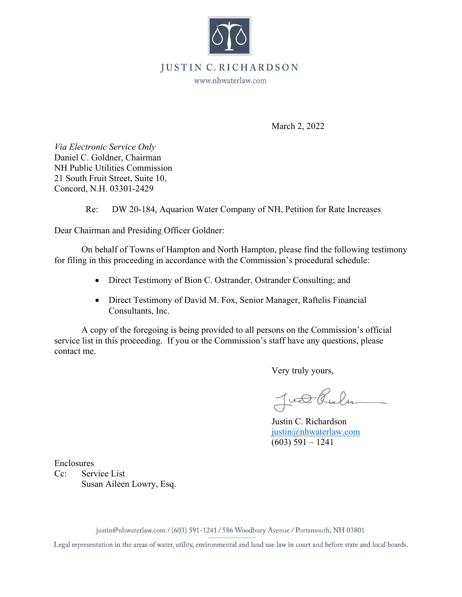

## **JUSTIN** • **C. RICHARDSON**

www.nhwaterlaw.com

March 2, 2022

*Via Electronic Service Only*  Daniel C. Goldner, Chairman NH Public Utilities Commission 21 South Fruit Street, Suite 10, Concord, N.H. 03301-2429

Re: DW 20-184, Aquarion Water Company of NH, Petition for Rate Increases

Dear Chairman and Presiding Officer Goldner:

On behalf of Towns of Hampton and North Hampton, please find the following testimony for filing in this proceeding in accordance with the Commission's procedural schedule:

- Direct Testimony of Bion C. Ostrander, Ostrander Consulting; and
- Direct Testimony of David M. Fox, Senior Manager, Raftelis Financial Consultants, Inc.

A copy of the foregoing is being provided to all persons on the Commission's official service list in this proceeding. If you or the Commission's staff have any questions, please contact me.

Very truly yours,

Just Rule

Justin C. Richardson justin@nhwaterlaw.com (603) 591 – 1241

Enclosures

Cc: Service List Susan Aileen Lowry, Esq.

justin@nhwaterlaw.com / (603) 591-1241 / 586 Woodbury Avenue/ Portsmouth, **NH** 03801

Legal representation in the areas of water, utility, environmental and land use law in court and before state and local boards.